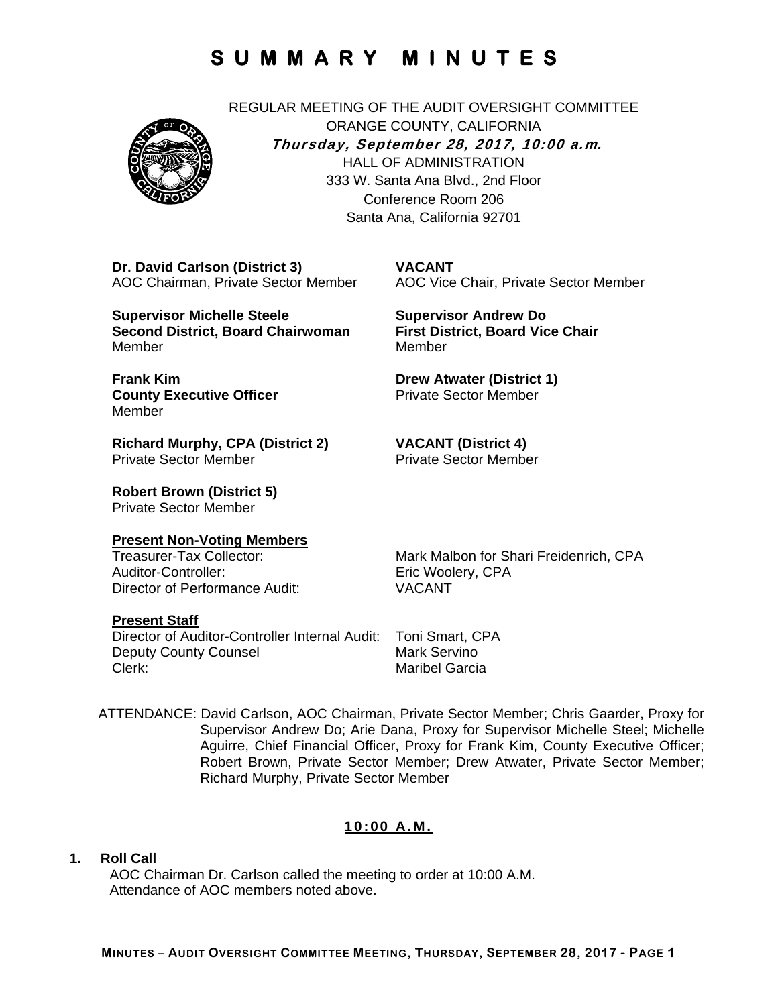REGULAR MEETING OF THE AUDIT OVERSIGHT COMMITTEE ORANGE COUNTY, CALIFORNIA **Thursday, September 28, 2017, 10:00 a.m***.* HALL OF ADMINISTRATION 333 W. Santa Ana Blvd., 2nd Floor Conference Room 206 Santa Ana, California 92701

**VACANT** 

**Dr. David Carlson (District 3)**  AOC Chairman, Private Sector Member

**Supervisor Michelle Steele Second District, Board Chairwoman**  Member

Member **Drew Atwater (District 1)**  Private Sector Member

**VACANT (District 4)**  Private Sector Member

**First District, Board Vice Chair** 

**Supervisor Andrew Do** 

**Frank Kim County Executive Officer Member** 

**Richard Murphy, CPA (District 2)**  Private Sector Member

**Robert Brown (District 5)**  Private Sector Member

#### **Present Non-Voting Members**

Auditor-Controller: Eric Woolery, CPA Director of Performance Audit: VACANT

Treasurer-Tax Collector: Mark Malbon for Shari Freidenrich, CPA

AOC Vice Chair, Private Sector Member

#### **Present Staff**

Director of Auditor-Controller Internal Audit: Toni Smart, CPA Deputy County Counsel **Mark Servino** Clerk: Maribel Garcia

ATTENDANCE: David Carlson, AOC Chairman, Private Sector Member; Chris Gaarder, Proxy for Supervisor Andrew Do; Arie Dana, Proxy for Supervisor Michelle Steel; Michelle Aguirre, Chief Financial Officer, Proxy for Frank Kim, County Executive Officer; Robert Brown, Private Sector Member; Drew Atwater, Private Sector Member; Richard Murphy, Private Sector Member

### **10:00 A.M.**

#### **1. Roll Call**

AOC Chairman Dr. Carlson called the meeting to order at 10:00 A.M. Attendance of AOC members noted above.

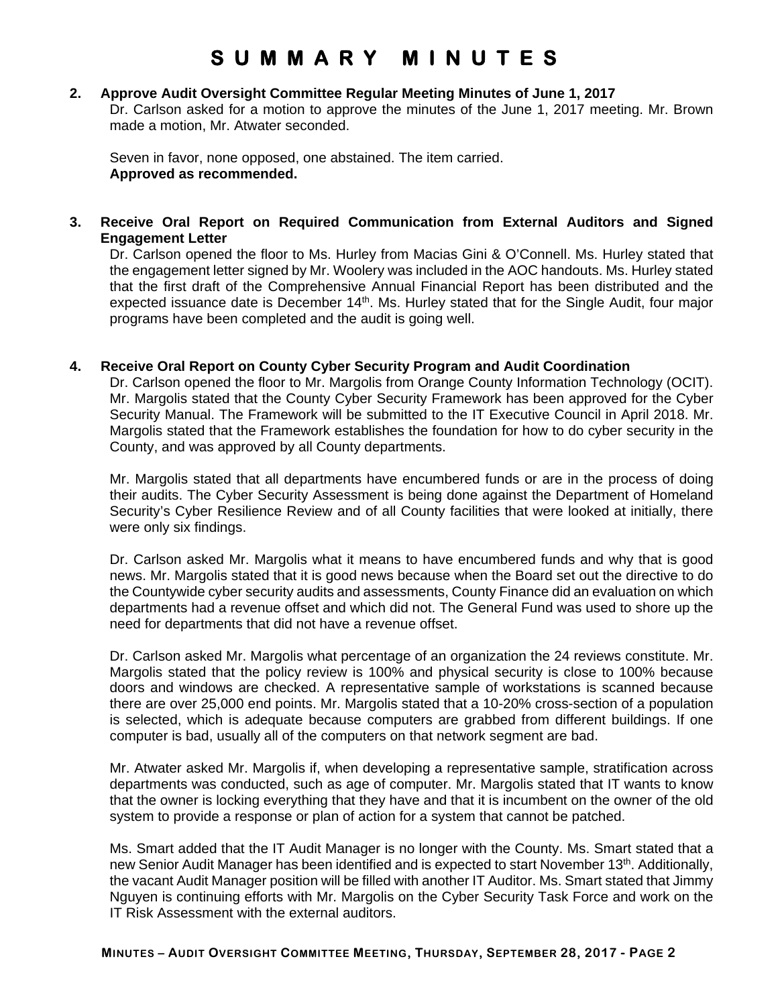### **2. Approve Audit Oversight Committee Regular Meeting Minutes of June 1, 2017**

Dr. Carlson asked for a motion to approve the minutes of the June 1, 2017 meeting. Mr. Brown made a motion, Mr. Atwater seconded.

Seven in favor, none opposed, one abstained. The item carried. **Approved as recommended.**

### **3. Receive Oral Report on Required Communication from External Auditors and Signed Engagement Letter**

Dr. Carlson opened the floor to Ms. Hurley from Macias Gini & O'Connell. Ms. Hurley stated that the engagement letter signed by Mr. Woolery was included in the AOC handouts. Ms. Hurley stated that the first draft of the Comprehensive Annual Financial Report has been distributed and the expected issuance date is December 14<sup>th</sup>. Ms. Hurley stated that for the Single Audit, four major programs have been completed and the audit is going well.

### **4. Receive Oral Report on County Cyber Security Program and Audit Coordination**

Dr. Carlson opened the floor to Mr. Margolis from Orange County Information Technology (OCIT). Mr. Margolis stated that the County Cyber Security Framework has been approved for the Cyber Security Manual. The Framework will be submitted to the IT Executive Council in April 2018. Mr. Margolis stated that the Framework establishes the foundation for how to do cyber security in the County, and was approved by all County departments.

Mr. Margolis stated that all departments have encumbered funds or are in the process of doing their audits. The Cyber Security Assessment is being done against the Department of Homeland Security's Cyber Resilience Review and of all County facilities that were looked at initially, there were only six findings.

Dr. Carlson asked Mr. Margolis what it means to have encumbered funds and why that is good news. Mr. Margolis stated that it is good news because when the Board set out the directive to do the Countywide cyber security audits and assessments, County Finance did an evaluation on which departments had a revenue offset and which did not. The General Fund was used to shore up the need for departments that did not have a revenue offset.

Dr. Carlson asked Mr. Margolis what percentage of an organization the 24 reviews constitute. Mr. Margolis stated that the policy review is 100% and physical security is close to 100% because doors and windows are checked. A representative sample of workstations is scanned because there are over 25,000 end points. Mr. Margolis stated that a 10-20% cross-section of a population is selected, which is adequate because computers are grabbed from different buildings. If one computer is bad, usually all of the computers on that network segment are bad.

Mr. Atwater asked Mr. Margolis if, when developing a representative sample, stratification across departments was conducted, such as age of computer. Mr. Margolis stated that IT wants to know that the owner is locking everything that they have and that it is incumbent on the owner of the old system to provide a response or plan of action for a system that cannot be patched.

Ms. Smart added that the IT Audit Manager is no longer with the County. Ms. Smart stated that a new Senior Audit Manager has been identified and is expected to start November 13th. Additionally, the vacant Audit Manager position will be filled with another IT Auditor. Ms. Smart stated that Jimmy Nguyen is continuing efforts with Mr. Margolis on the Cyber Security Task Force and work on the IT Risk Assessment with the external auditors.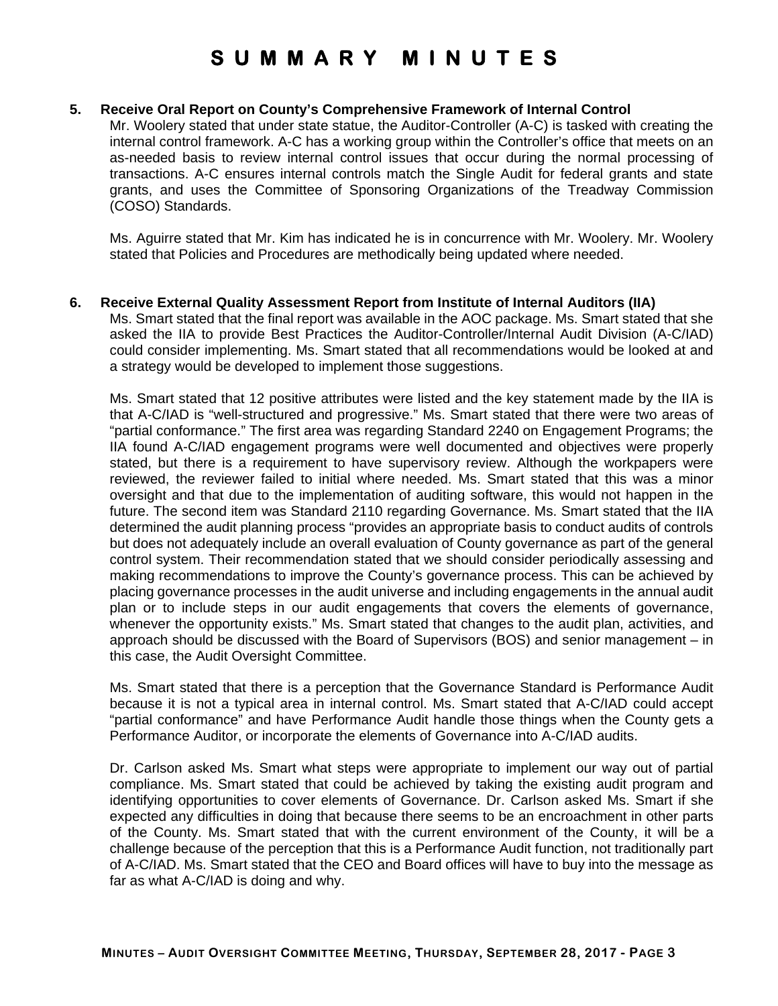#### **5. Receive Oral Report on County's Comprehensive Framework of Internal Control**

Mr. Woolery stated that under state statue, the Auditor-Controller (A-C) is tasked with creating the internal control framework. A-C has a working group within the Controller's office that meets on an as-needed basis to review internal control issues that occur during the normal processing of transactions. A-C ensures internal controls match the Single Audit for federal grants and state grants, and uses the Committee of Sponsoring Organizations of the Treadway Commission (COSO) Standards.

Ms. Aguirre stated that Mr. Kim has indicated he is in concurrence with Mr. Woolery. Mr. Woolery stated that Policies and Procedures are methodically being updated where needed.

#### **6. Receive External Quality Assessment Report from Institute of Internal Auditors (IIA)**

Ms. Smart stated that the final report was available in the AOC package. Ms. Smart stated that she asked the IIA to provide Best Practices the Auditor-Controller/Internal Audit Division (A-C/IAD) could consider implementing. Ms. Smart stated that all recommendations would be looked at and a strategy would be developed to implement those suggestions.

Ms. Smart stated that 12 positive attributes were listed and the key statement made by the IIA is that A-C/IAD is "well-structured and progressive." Ms. Smart stated that there were two areas of "partial conformance." The first area was regarding Standard 2240 on Engagement Programs; the IIA found A-C/IAD engagement programs were well documented and objectives were properly stated, but there is a requirement to have supervisory review. Although the workpapers were reviewed, the reviewer failed to initial where needed. Ms. Smart stated that this was a minor oversight and that due to the implementation of auditing software, this would not happen in the future. The second item was Standard 2110 regarding Governance. Ms. Smart stated that the IIA determined the audit planning process "provides an appropriate basis to conduct audits of controls but does not adequately include an overall evaluation of County governance as part of the general control system. Their recommendation stated that we should consider periodically assessing and making recommendations to improve the County's governance process. This can be achieved by placing governance processes in the audit universe and including engagements in the annual audit plan or to include steps in our audit engagements that covers the elements of governance, whenever the opportunity exists." Ms. Smart stated that changes to the audit plan, activities, and approach should be discussed with the Board of Supervisors (BOS) and senior management – in this case, the Audit Oversight Committee.

Ms. Smart stated that there is a perception that the Governance Standard is Performance Audit because it is not a typical area in internal control. Ms. Smart stated that A-C/IAD could accept "partial conformance" and have Performance Audit handle those things when the County gets a Performance Auditor, or incorporate the elements of Governance into A-C/IAD audits.

Dr. Carlson asked Ms. Smart what steps were appropriate to implement our way out of partial compliance. Ms. Smart stated that could be achieved by taking the existing audit program and identifying opportunities to cover elements of Governance. Dr. Carlson asked Ms. Smart if she expected any difficulties in doing that because there seems to be an encroachment in other parts of the County. Ms. Smart stated that with the current environment of the County, it will be a challenge because of the perception that this is a Performance Audit function, not traditionally part of A-C/IAD. Ms. Smart stated that the CEO and Board offices will have to buy into the message as far as what A-C/IAD is doing and why.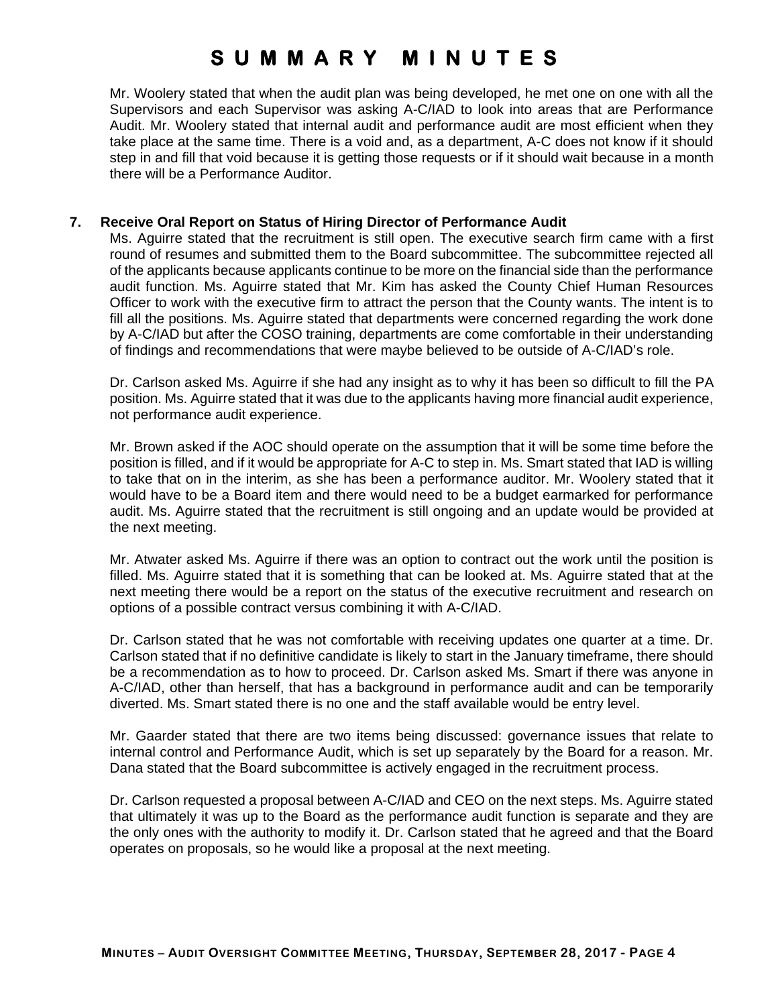Mr. Woolery stated that when the audit plan was being developed, he met one on one with all the Supervisors and each Supervisor was asking A-C/IAD to look into areas that are Performance Audit. Mr. Woolery stated that internal audit and performance audit are most efficient when they take place at the same time. There is a void and, as a department, A-C does not know if it should step in and fill that void because it is getting those requests or if it should wait because in a month there will be a Performance Auditor.

### **7. Receive Oral Report on Status of Hiring Director of Performance Audit**

Ms. Aguirre stated that the recruitment is still open. The executive search firm came with a first round of resumes and submitted them to the Board subcommittee. The subcommittee rejected all of the applicants because applicants continue to be more on the financial side than the performance audit function. Ms. Aguirre stated that Mr. Kim has asked the County Chief Human Resources Officer to work with the executive firm to attract the person that the County wants. The intent is to fill all the positions. Ms. Aguirre stated that departments were concerned regarding the work done by A-C/IAD but after the COSO training, departments are come comfortable in their understanding of findings and recommendations that were maybe believed to be outside of A-C/IAD's role.

Dr. Carlson asked Ms. Aguirre if she had any insight as to why it has been so difficult to fill the PA position. Ms. Aguirre stated that it was due to the applicants having more financial audit experience, not performance audit experience.

Mr. Brown asked if the AOC should operate on the assumption that it will be some time before the position is filled, and if it would be appropriate for A-C to step in. Ms. Smart stated that IAD is willing to take that on in the interim, as she has been a performance auditor. Mr. Woolery stated that it would have to be a Board item and there would need to be a budget earmarked for performance audit. Ms. Aguirre stated that the recruitment is still ongoing and an update would be provided at the next meeting.

Mr. Atwater asked Ms. Aguirre if there was an option to contract out the work until the position is filled. Ms. Aguirre stated that it is something that can be looked at. Ms. Aguirre stated that at the next meeting there would be a report on the status of the executive recruitment and research on options of a possible contract versus combining it with A-C/IAD.

Dr. Carlson stated that he was not comfortable with receiving updates one quarter at a time. Dr. Carlson stated that if no definitive candidate is likely to start in the January timeframe, there should be a recommendation as to how to proceed. Dr. Carlson asked Ms. Smart if there was anyone in A-C/IAD, other than herself, that has a background in performance audit and can be temporarily diverted. Ms. Smart stated there is no one and the staff available would be entry level.

Mr. Gaarder stated that there are two items being discussed: governance issues that relate to internal control and Performance Audit, which is set up separately by the Board for a reason. Mr. Dana stated that the Board subcommittee is actively engaged in the recruitment process.

Dr. Carlson requested a proposal between A-C/IAD and CEO on the next steps. Ms. Aguirre stated that ultimately it was up to the Board as the performance audit function is separate and they are the only ones with the authority to modify it. Dr. Carlson stated that he agreed and that the Board operates on proposals, so he would like a proposal at the next meeting.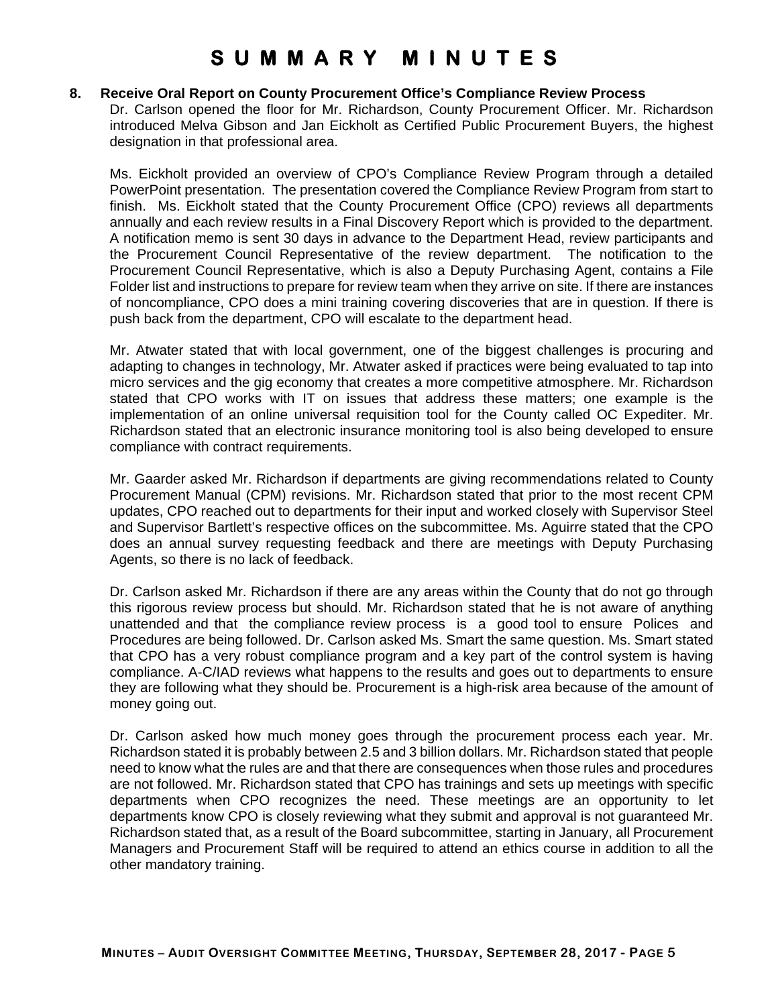#### **8. Receive Oral Report on County Procurement Office's Compliance Review Process**

Dr. Carlson opened the floor for Mr. Richardson, County Procurement Officer. Mr. Richardson introduced Melva Gibson and Jan Eickholt as Certified Public Procurement Buyers, the highest designation in that professional area.

Ms. Eickholt provided an overview of CPO's Compliance Review Program through a detailed PowerPoint presentation. The presentation covered the Compliance Review Program from start to finish. Ms. Eickholt stated that the County Procurement Office (CPO) reviews all departments annually and each review results in a Final Discovery Report which is provided to the department. A notification memo is sent 30 days in advance to the Department Head, review participants and the Procurement Council Representative of the review department. The notification to the Procurement Council Representative, which is also a Deputy Purchasing Agent, contains a File Folder list and instructions to prepare for review team when they arrive on site. If there are instances of noncompliance, CPO does a mini training covering discoveries that are in question. If there is push back from the department, CPO will escalate to the department head.

Mr. Atwater stated that with local government, one of the biggest challenges is procuring and adapting to changes in technology, Mr. Atwater asked if practices were being evaluated to tap into micro services and the gig economy that creates a more competitive atmosphere. Mr. Richardson stated that CPO works with IT on issues that address these matters; one example is the implementation of an online universal requisition tool for the County called OC Expediter. Mr. Richardson stated that an electronic insurance monitoring tool is also being developed to ensure compliance with contract requirements.

Mr. Gaarder asked Mr. Richardson if departments are giving recommendations related to County Procurement Manual (CPM) revisions. Mr. Richardson stated that prior to the most recent CPM updates, CPO reached out to departments for their input and worked closely with Supervisor Steel and Supervisor Bartlett's respective offices on the subcommittee. Ms. Aguirre stated that the CPO does an annual survey requesting feedback and there are meetings with Deputy Purchasing Agents, so there is no lack of feedback.

Dr. Carlson asked Mr. Richardson if there are any areas within the County that do not go through this rigorous review process but should. Mr. Richardson stated that he is not aware of anything unattended and that the compliance review process is a good tool to ensure Polices and Procedures are being followed. Dr. Carlson asked Ms. Smart the same question. Ms. Smart stated that CPO has a very robust compliance program and a key part of the control system is having compliance. A-C/IAD reviews what happens to the results and goes out to departments to ensure they are following what they should be. Procurement is a high-risk area because of the amount of money going out.

Dr. Carlson asked how much money goes through the procurement process each year. Mr. Richardson stated it is probably between 2.5 and 3 billion dollars. Mr. Richardson stated that people need to know what the rules are and that there are consequences when those rules and procedures are not followed. Mr. Richardson stated that CPO has trainings and sets up meetings with specific departments when CPO recognizes the need. These meetings are an opportunity to let departments know CPO is closely reviewing what they submit and approval is not guaranteed Mr. Richardson stated that, as a result of the Board subcommittee, starting in January, all Procurement Managers and Procurement Staff will be required to attend an ethics course in addition to all the other mandatory training.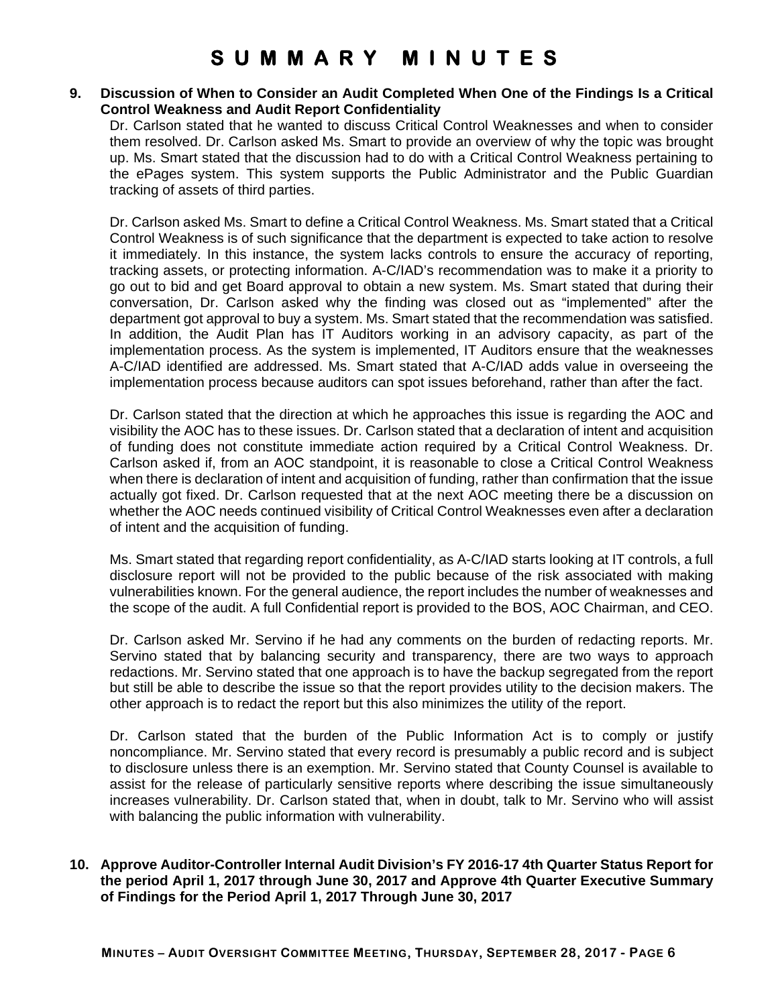### **9. Discussion of When to Consider an Audit Completed When One of the Findings Is a Critical Control Weakness and Audit Report Confidentiality**

Dr. Carlson stated that he wanted to discuss Critical Control Weaknesses and when to consider them resolved. Dr. Carlson asked Ms. Smart to provide an overview of why the topic was brought up. Ms. Smart stated that the discussion had to do with a Critical Control Weakness pertaining to the ePages system. This system supports the Public Administrator and the Public Guardian tracking of assets of third parties.

Dr. Carlson asked Ms. Smart to define a Critical Control Weakness. Ms. Smart stated that a Critical Control Weakness is of such significance that the department is expected to take action to resolve it immediately. In this instance, the system lacks controls to ensure the accuracy of reporting, tracking assets, or protecting information. A-C/IAD's recommendation was to make it a priority to go out to bid and get Board approval to obtain a new system. Ms. Smart stated that during their conversation, Dr. Carlson asked why the finding was closed out as "implemented" after the department got approval to buy a system. Ms. Smart stated that the recommendation was satisfied. In addition, the Audit Plan has IT Auditors working in an advisory capacity, as part of the implementation process. As the system is implemented, IT Auditors ensure that the weaknesses A-C/IAD identified are addressed. Ms. Smart stated that A-C/IAD adds value in overseeing the implementation process because auditors can spot issues beforehand, rather than after the fact.

Dr. Carlson stated that the direction at which he approaches this issue is regarding the AOC and visibility the AOC has to these issues. Dr. Carlson stated that a declaration of intent and acquisition of funding does not constitute immediate action required by a Critical Control Weakness. Dr. Carlson asked if, from an AOC standpoint, it is reasonable to close a Critical Control Weakness when there is declaration of intent and acquisition of funding, rather than confirmation that the issue actually got fixed. Dr. Carlson requested that at the next AOC meeting there be a discussion on whether the AOC needs continued visibility of Critical Control Weaknesses even after a declaration of intent and the acquisition of funding.

Ms. Smart stated that regarding report confidentiality, as A-C/IAD starts looking at IT controls, a full disclosure report will not be provided to the public because of the risk associated with making vulnerabilities known. For the general audience, the report includes the number of weaknesses and the scope of the audit. A full Confidential report is provided to the BOS, AOC Chairman, and CEO.

Dr. Carlson asked Mr. Servino if he had any comments on the burden of redacting reports. Mr. Servino stated that by balancing security and transparency, there are two ways to approach redactions. Mr. Servino stated that one approach is to have the backup segregated from the report but still be able to describe the issue so that the report provides utility to the decision makers. The other approach is to redact the report but this also minimizes the utility of the report.

Dr. Carlson stated that the burden of the Public Information Act is to comply or justify noncompliance. Mr. Servino stated that every record is presumably a public record and is subject to disclosure unless there is an exemption. Mr. Servino stated that County Counsel is available to assist for the release of particularly sensitive reports where describing the issue simultaneously increases vulnerability. Dr. Carlson stated that, when in doubt, talk to Mr. Servino who will assist with balancing the public information with vulnerability.

**10. Approve Auditor-Controller Internal Audit Division's FY 2016-17 4th Quarter Status Report for the period April 1, 2017 through June 30, 2017 and Approve 4th Quarter Executive Summary of Findings for the Period April 1, 2017 Through June 30, 2017**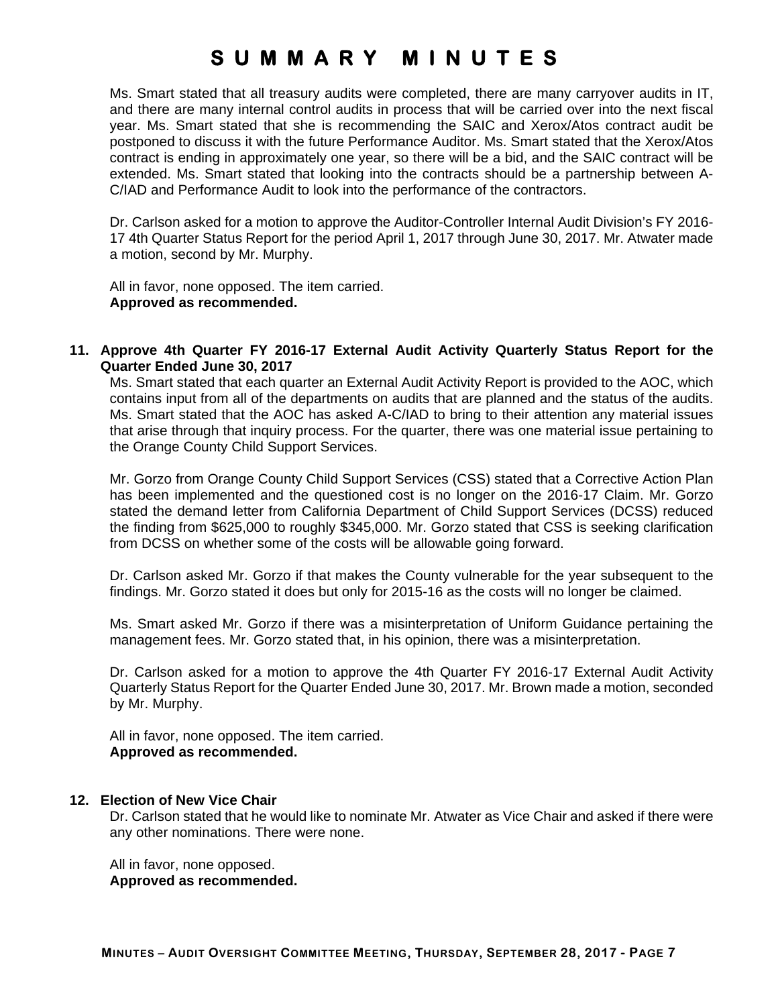Ms. Smart stated that all treasury audits were completed, there are many carryover audits in IT, and there are many internal control audits in process that will be carried over into the next fiscal year. Ms. Smart stated that she is recommending the SAIC and Xerox/Atos contract audit be postponed to discuss it with the future Performance Auditor. Ms. Smart stated that the Xerox/Atos contract is ending in approximately one year, so there will be a bid, and the SAIC contract will be extended. Ms. Smart stated that looking into the contracts should be a partnership between A-C/IAD and Performance Audit to look into the performance of the contractors.

Dr. Carlson asked for a motion to approve the Auditor-Controller Internal Audit Division's FY 2016- 17 4th Quarter Status Report for the period April 1, 2017 through June 30, 2017. Mr. Atwater made a motion, second by Mr. Murphy.

All in favor, none opposed. The item carried. **Approved as recommended.**

**11. Approve 4th Quarter FY 2016-17 External Audit Activity Quarterly Status Report for the Quarter Ended June 30, 2017** 

Ms. Smart stated that each quarter an External Audit Activity Report is provided to the AOC, which contains input from all of the departments on audits that are planned and the status of the audits. Ms. Smart stated that the AOC has asked A-C/IAD to bring to their attention any material issues that arise through that inquiry process. For the quarter, there was one material issue pertaining to the Orange County Child Support Services.

Mr. Gorzo from Orange County Child Support Services (CSS) stated that a Corrective Action Plan has been implemented and the questioned cost is no longer on the 2016-17 Claim. Mr. Gorzo stated the demand letter from California Department of Child Support Services (DCSS) reduced the finding from \$625,000 to roughly \$345,000. Mr. Gorzo stated that CSS is seeking clarification from DCSS on whether some of the costs will be allowable going forward.

Dr. Carlson asked Mr. Gorzo if that makes the County vulnerable for the year subsequent to the findings. Mr. Gorzo stated it does but only for 2015-16 as the costs will no longer be claimed.

Ms. Smart asked Mr. Gorzo if there was a misinterpretation of Uniform Guidance pertaining the management fees. Mr. Gorzo stated that, in his opinion, there was a misinterpretation.

Dr. Carlson asked for a motion to approve the 4th Quarter FY 2016-17 External Audit Activity Quarterly Status Report for the Quarter Ended June 30, 2017. Mr. Brown made a motion, seconded by Mr. Murphy.

All in favor, none opposed. The item carried. **Approved as recommended.**

### **12. Election of New Vice Chair**

Dr. Carlson stated that he would like to nominate Mr. Atwater as Vice Chair and asked if there were any other nominations. There were none.

All in favor, none opposed. **Approved as recommended.**